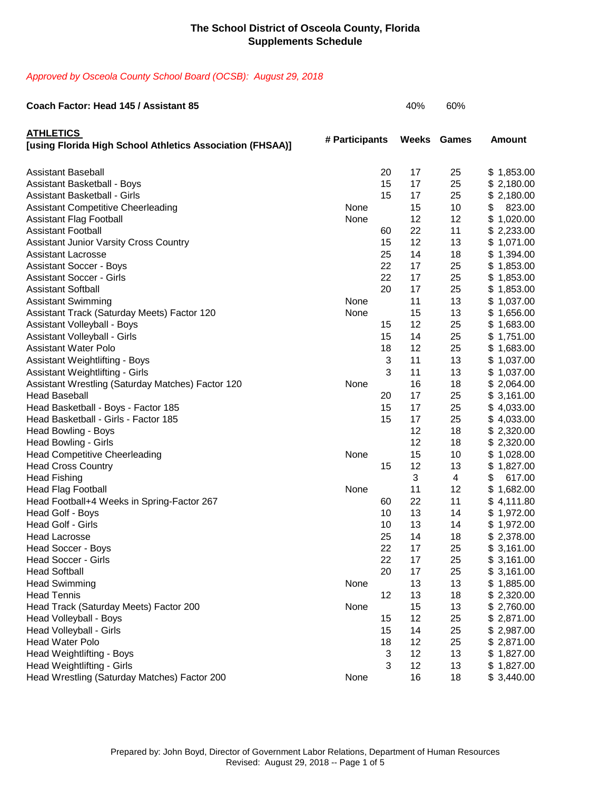### *Approved by Osceola County School Board (OCSB): August 29, 2018*

| Coach Factor: Head 145 / Assistant 85                                         |                |    | 40%          | 60%            |               |
|-------------------------------------------------------------------------------|----------------|----|--------------|----------------|---------------|
| <b>ATHLETICS</b><br>[using Florida High School Athletics Association (FHSAA)] | # Participants |    | <b>Weeks</b> | <b>Games</b>   | <b>Amount</b> |
| <b>Assistant Baseball</b>                                                     |                | 20 | 17           | 25             | \$1,853.00    |
| <b>Assistant Basketball - Boys</b>                                            |                | 15 | 17           | 25             | \$2,180.00    |
| <b>Assistant Basketball - Girls</b>                                           |                | 15 | 17           | 25             | \$2,180.00    |
| <b>Assistant Competitive Cheerleading</b>                                     | None           |    | 15           | 10             | \$<br>823.00  |
| <b>Assistant Flag Football</b>                                                | None           |    | 12           | 12             | \$1,020.00    |
| <b>Assistant Football</b>                                                     |                | 60 | 22           | 11             | \$2,233.00    |
| <b>Assistant Junior Varsity Cross Country</b>                                 |                | 15 | 12           | 13             | \$1,071.00    |
| <b>Assistant Lacrosse</b>                                                     |                | 25 | 14           | 18             | \$1,394.00    |
| <b>Assistant Soccer - Boys</b>                                                |                | 22 | 17           | 25             | \$1,853.00    |
| <b>Assistant Soccer - Girls</b>                                               |                | 22 | 17           | 25             | \$1,853.00    |
| <b>Assistant Softball</b>                                                     |                | 20 | 17           | 25             | \$1,853.00    |
| <b>Assistant Swimming</b>                                                     | None           |    | 11           | 13             | \$1,037.00    |
| Assistant Track (Saturday Meets) Factor 120                                   | None           |    | 15           | 13             | \$1,656.00    |
| <b>Assistant Volleyball - Boys</b>                                            |                | 15 | 12           | 25             | \$1,683.00    |
| <b>Assistant Volleyball - Girls</b>                                           |                | 15 | 14           | 25             | \$1,751.00    |
| <b>Assistant Water Polo</b>                                                   |                | 18 | 12           | 25             | \$1,683.00    |
| <b>Assistant Weightlifting - Boys</b>                                         |                | 3  | 11           | 13             | \$1,037.00    |
| <b>Assistant Weightlifting - Girls</b>                                        |                | 3  | 11           | 13             | \$1,037.00    |
| Assistant Wrestling (Saturday Matches) Factor 120                             | None           |    | 16           | 18             | \$2,064.00    |
| <b>Head Baseball</b>                                                          |                | 20 | 17           | 25             | \$3,161.00    |
| Head Basketball - Boys - Factor 185                                           |                | 15 | 17           | 25             | \$4,033.00    |
| Head Basketball - Girls - Factor 185                                          |                | 15 | 17           | 25             | \$4,033.00    |
| Head Bowling - Boys                                                           |                |    | 12           | 18             | \$2,320.00    |
| <b>Head Bowling - Girls</b>                                                   |                |    | 12           | 18             | \$2,320.00    |
| <b>Head Competitive Cheerleading</b>                                          | None           |    | 15           | 10             | \$1,028.00    |
| <b>Head Cross Country</b>                                                     |                | 15 | 12           | 13             | \$1,827.00    |
| <b>Head Fishing</b>                                                           |                |    | 3            | $\overline{4}$ | \$<br>617.00  |
| <b>Head Flag Football</b>                                                     | None           |    | 11           | 12             | \$1,682.00    |
| Head Football+4 Weeks in Spring-Factor 267                                    |                | 60 | 22           | 11             | \$4,111.80    |
| Head Golf - Boys                                                              |                | 10 | 13           | 14             | \$1,972.00    |
| Head Golf - Girls                                                             |                | 10 | 13           | 14             | \$1,972.00    |
| <b>Head Lacrosse</b>                                                          |                | 25 | 14           | 18             | \$2,378.00    |
| <b>Head Soccer - Boys</b>                                                     |                | 22 | 17           | 25             | \$3,161.00    |
| <b>Head Soccer - Girls</b>                                                    |                | 22 | 17           | 25             | \$3,161.00    |
| <b>Head Softball</b>                                                          |                | 20 | 17           | 25             | \$3,161.00    |
| <b>Head Swimming</b>                                                          | None           |    | 13           | 13             | \$1,885.00    |
| <b>Head Tennis</b>                                                            |                | 12 | 13           | 18             | \$2,320.00    |
| Head Track (Saturday Meets) Factor 200                                        | None           |    | 15           | 13             | \$2,760.00    |
| Head Volleyball - Boys                                                        |                | 15 | 12           | 25             | \$2,871.00    |
| Head Volleyball - Girls                                                       |                | 15 | 14           | 25             | \$2,987.00    |
| <b>Head Water Polo</b>                                                        |                | 18 | 12           | 25             | \$2,871.00    |
| Head Weightlifting - Boys                                                     |                | 3  | 12           | 13             | \$1,827.00    |
| Head Weightlifting - Girls                                                    |                | 3  | 12           | 13             | \$1,827.00    |
| Head Wrestling (Saturday Matches) Factor 200                                  | None           |    | 16           | 18             | \$3,440.00    |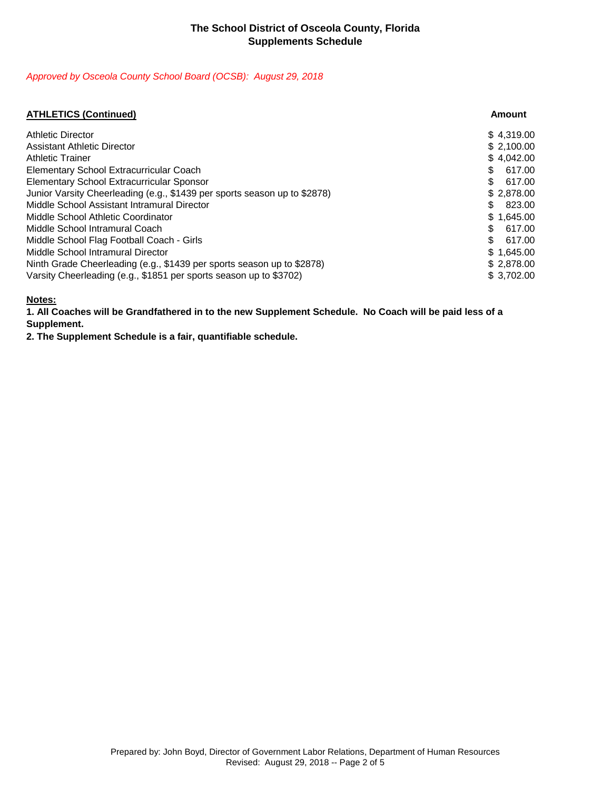### *Approved by Osceola County School Board (OCSB): August 29, 2018*

| <b>ATHLETICS (Continued)</b>                                              | Amount        |
|---------------------------------------------------------------------------|---------------|
| <b>Athletic Director</b>                                                  | \$4,319.00    |
| <b>Assistant Athletic Director</b>                                        | \$2,100.00    |
| <b>Athletic Trainer</b>                                                   | \$4,042.00    |
| Elementary School Extracurricular Coach                                   | 617.00<br>\$  |
| <b>Elementary School Extracurricular Sponsor</b>                          | \$.<br>617.00 |
| Junior Varsity Cheerleading (e.g., \$1439 per sports season up to \$2878) | \$2,878.00    |
| Middle School Assistant Intramural Director                               | 823.00<br>\$. |
| Middle School Athletic Coordinator                                        | \$1,645.00    |
| Middle School Intramural Coach                                            | 617.00        |
| Middle School Flag Football Coach - Girls                                 | \$.<br>617.00 |
| Middle School Intramural Director                                         | \$1,645.00    |
| Ninth Grade Cheerleading (e.g., \$1439 per sports season up to \$2878)    | \$2,878.00    |
| Varsity Cheerleading (e.g., \$1851 per sports season up to \$3702)        | \$3,702.00    |

## **Notes:**

**1. All Coaches will be Grandfathered in to the new Supplement Schedule. No Coach will be paid less of a Supplement.**

**2. The Supplement Schedule is a fair, quantifiable schedule.**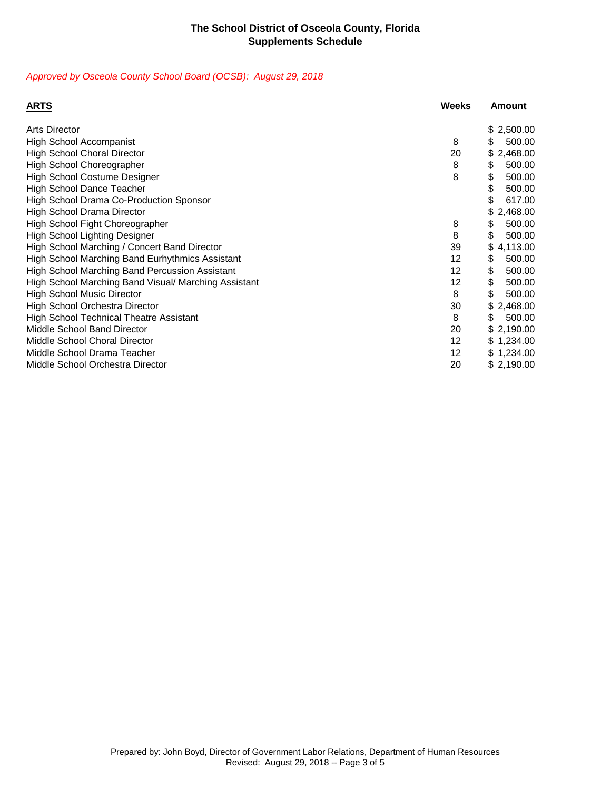### *Approved by Osceola County School Board (OCSB): August 29, 2018*

| <b>ARTS</b>                                            | <b>Weeks</b> | Amount         |
|--------------------------------------------------------|--------------|----------------|
| <b>Arts Director</b>                                   |              | \$2,500.00     |
| <b>High School Accompanist</b>                         | 8            | 500.00<br>\$   |
| <b>High School Choral Director</b>                     | 20           | \$2,468.00     |
| High School Choreographer                              | 8            | \$<br>500.00   |
| <b>High School Costume Designer</b>                    | 8            | \$<br>500.00   |
| <b>High School Dance Teacher</b>                       |              | \$<br>500.00   |
| High School Drama Co-Production Sponsor                |              | \$<br>617.00   |
| <b>High School Drama Director</b>                      |              | \$2,468.00     |
| High School Fight Choreographer                        | 8            | \$<br>500.00   |
| <b>High School Lighting Designer</b>                   | 8            | \$<br>500.00   |
| High School Marching / Concert Band Director           | 39           | 4,113.00<br>\$ |
| <b>High School Marching Band Eurhythmics Assistant</b> | 12           | 500.00<br>\$   |
| <b>High School Marching Band Percussion Assistant</b>  | 12           | \$<br>500.00   |
| High School Marching Band Visual/ Marching Assistant   | 12           | \$<br>500.00   |
| <b>High School Music Director</b>                      | 8            | \$<br>500.00   |
| <b>High School Orchestra Director</b>                  | 30           | \$2,468.00     |
| <b>High School Technical Theatre Assistant</b>         | 8            | \$<br>500.00   |
| Middle School Band Director                            | 20           | \$2,190.00     |
| <b>Middle School Choral Director</b>                   | 12           | \$1,234.00     |
| Middle School Drama Teacher                            | 12           | \$1,234.00     |
| Middle School Orchestra Director                       | 20           | \$2,190.00     |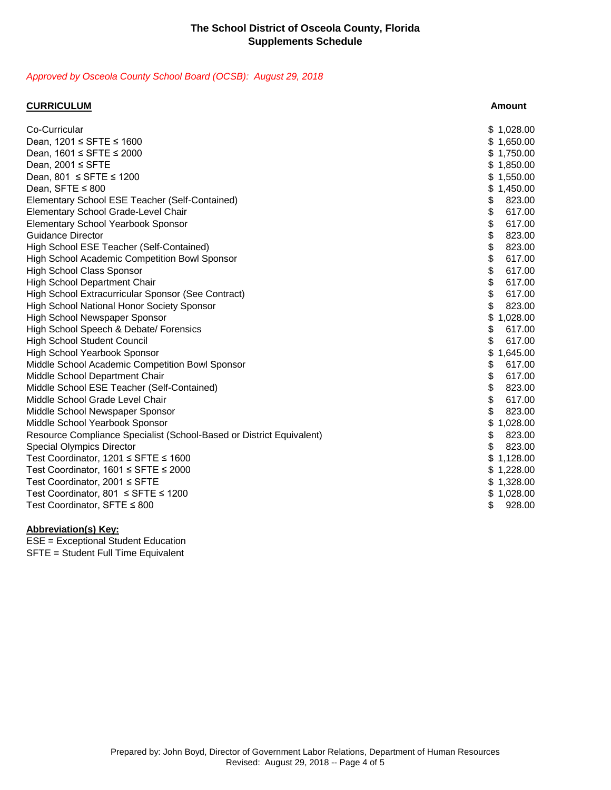## *Approved by Osceola County School Board (OCSB): August 29, 2018*

| <b>CURRICULUM</b>                                                    | <b>Amount</b>  |
|----------------------------------------------------------------------|----------------|
| Co-Curricular                                                        | \$1,028.00     |
| Dean, 1201 ≤ SFTE ≤ 1600                                             | 1,650.00<br>\$ |
| Dean, 1601 ≤ SFTE ≤ 2000                                             | 1,750.00       |
| Dean, $2001 \leq$ SFTE                                               | 1,850.00       |
| Dean, $801 \leq$ SFTE $\leq$ 1200                                    | \$1,550.00     |
| Dean, SFTE ≤ 800                                                     | 1,450.00<br>\$ |
| Elementary School ESE Teacher (Self-Contained)                       | \$<br>823.00   |
| <b>Elementary School Grade-Level Chair</b>                           | \$<br>617.00   |
| <b>Elementary School Yearbook Sponsor</b>                            | \$<br>617.00   |
| <b>Guidance Director</b>                                             | \$<br>823.00   |
| High School ESE Teacher (Self-Contained)                             | \$<br>823.00   |
| High School Academic Competition Bowl Sponsor                        | \$<br>617.00   |
| <b>High School Class Sponsor</b>                                     | \$<br>617.00   |
| <b>High School Department Chair</b>                                  | \$<br>617.00   |
| High School Extracurricular Sponsor (See Contract)                   | \$<br>617.00   |
| <b>High School National Honor Society Sponsor</b>                    | \$<br>823.00   |
| High School Newspaper Sponsor                                        | \$<br>1,028.00 |
| High School Speech & Debate/ Forensics                               | \$<br>617.00   |
| <b>High School Student Council</b>                                   | 617.00<br>\$   |
| <b>High School Yearbook Sponsor</b>                                  | 1,645.00       |
| Middle School Academic Competition Bowl Sponsor                      | \$<br>617.00   |
| Middle School Department Chair                                       | \$<br>617.00   |
| Middle School ESE Teacher (Self-Contained)                           | \$<br>823.00   |
| Middle School Grade Level Chair                                      | \$<br>617.00   |
| Middle School Newspaper Sponsor                                      | \$<br>823.00   |
| Middle School Yearbook Sponsor                                       | 1,028.00       |
| Resource Compliance Specialist (School-Based or District Equivalent) | 823.00<br>\$   |
| <b>Special Olympics Director</b>                                     | \$<br>823.00   |
| Test Coordinator, 1201 ≤ SFTE ≤ 1600                                 | 1,128.00       |
| Test Coordinator, 1601 ≤ SFTE ≤ 2000                                 | \$1,228.00     |
| Test Coordinator, 2001 ≤ SFTE                                        | \$1,328.00     |
| Test Coordinator, 801 ≤ SFTE ≤ 1200                                  | \$<br>1,028.00 |
| Test Coordinator, SFTE ≤ 800                                         | \$<br>928.00   |

### **Abbreviation(s) Key:**

ESE = Exceptional Student Education SFTE = Student Full Time Equivalent